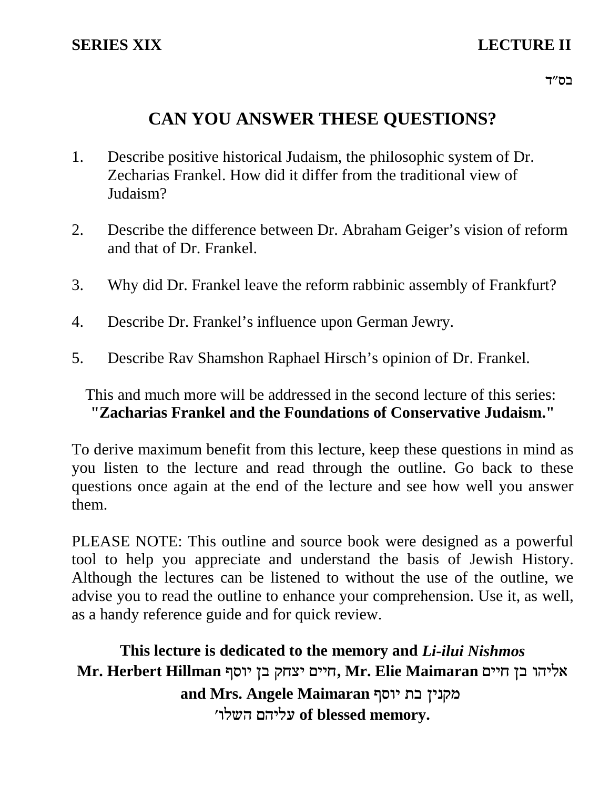### **SERIES XIX LECTURE II**

# **CAN YOU ANSWER THESE QUESTIONS?**

- 1. Describe positive historical Judaism, the philosophic system of Dr. Zecharias Frankel. How did it differ from the traditional view of Judaism?
- 2. Describe the difference between Dr. Abraham Geiger's vision of reform and that of Dr. Frankel.
- 3. Why did Dr. Frankel leave the reform rabbinic assembly of Frankfurt?
- 4. Describe Dr. Frankel's influence upon German Jewry.
- 5. Describe Rav Shamshon Raphael Hirsch's opinion of Dr. Frankel.

This and much more will be addressed in the second lecture of this series: **"Zacharias Frankel and the Foundations of Conservative Judaism."**

To derive maximum benefit from this lecture, keep these questions in mind as you listen to the lecture and read through the outline. Go back to these questions once again at the end of the lecture and see how well you answer them.

PLEASE NOTE: This outline and source book were designed as a powerful tool to help you appreciate and understand the basis of Jewish History. Although the lectures can be listened to without the use of the outline, we advise you to read the outline to enhance your comprehension. Use it, as well, as a handy reference guide and for quick review.

# **This lecture is dedicated to the memory and** *Li-ilui Nishmos* Mr. Herbert Hillman היים יצחק בן יוסף, Mr. Elie Maimaran **n** and Mrs. Angele Maimaran **מקנין בת** יוסף 'יהם השלו<sup>י</sup><br/> of blessed memory.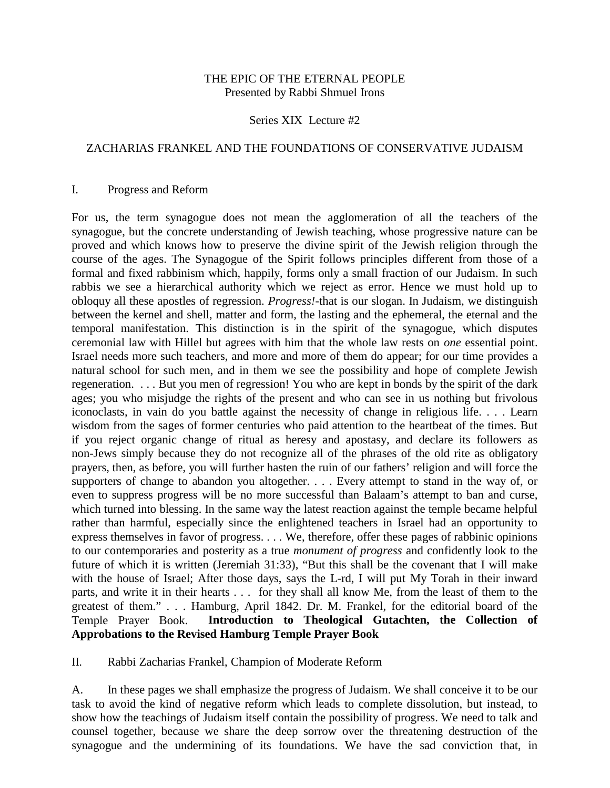### THE EPIC OF THE ETERNAL PEOPLE Presented by Rabbi Shmuel Irons

#### Series XIX Lecture #2

### ZACHARIAS FRANKEL AND THE FOUNDATIONS OF CONSERVATIVE JUDAISM

#### I. Progress and Reform

For us, the term synagogue does not mean the agglomeration of all the teachers of the synagogue, but the concrete understanding of Jewish teaching, whose progressive nature can be proved and which knows how to preserve the divine spirit of the Jewish religion through the course of the ages. The Synagogue of the Spirit follows principles different from those of a formal and fixed rabbinism which, happily, forms only a small fraction of our Judaism. In such rabbis we see a hierarchical authority which we reject as error. Hence we must hold up to obloquy all these apostles of regression. *Progress!*-that is our slogan. In Judaism, we distinguish between the kernel and shell, matter and form, the lasting and the ephemeral, the eternal and the temporal manifestation. This distinction is in the spirit of the synagogue, which disputes ceremonial law with Hillel but agrees with him that the whole law rests on *one* essential point. Israel needs more such teachers, and more and more of them do appear; for our time provides a natural school for such men, and in them we see the possibility and hope of complete Jewish regeneration. . . . But you men of regression! You who are kept in bonds by the spirit of the dark ages; you who misjudge the rights of the present and who can see in us nothing but frivolous iconoclasts, in vain do you battle against the necessity of change in religious life. . . . Learn wisdom from the sages of former centuries who paid attention to the heartbeat of the times. But if you reject organic change of ritual as heresy and apostasy, and declare its followers as non-Jews simply because they do not recognize all of the phrases of the old rite as obligatory prayers, then, as before, you will further hasten the ruin of our fathers' religion and will force the supporters of change to abandon you altogether. . . . Every attempt to stand in the way of, or even to suppress progress will be no more successful than Balaam's attempt to ban and curse, which turned into blessing. In the same way the latest reaction against the temple became helpful rather than harmful, especially since the enlightened teachers in Israel had an opportunity to express themselves in favor of progress. . . . We, therefore, offer these pages of rabbinic opinions to our contemporaries and posterity as a true *monument of progress* and confidently look to the future of which it is written (Jeremiah 31:33), "But this shall be the covenant that I will make with the house of Israel; After those days, says the L-rd, I will put My Torah in their inward parts, and write it in their hearts . . . for they shall all know Me, from the least of them to the greatest of them." . . . Hamburg, April 1842. Dr. M. Frankel, for the editorial board of the Temple Prayer Book. **Introduction to Theological Gutachten, the Collection of Approbations to the Revised Hamburg Temple Prayer Book**

II. Rabbi Zacharias Frankel, Champion of Moderate Reform

A. In these pages we shall emphasize the progress of Judaism. We shall conceive it to be our task to avoid the kind of negative reform which leads to complete dissolution, but instead, to show how the teachings of Judaism itself contain the possibility of progress. We need to talk and counsel together, because we share the deep sorrow over the threatening destruction of the synagogue and the undermining of its foundations. We have the sad conviction that, in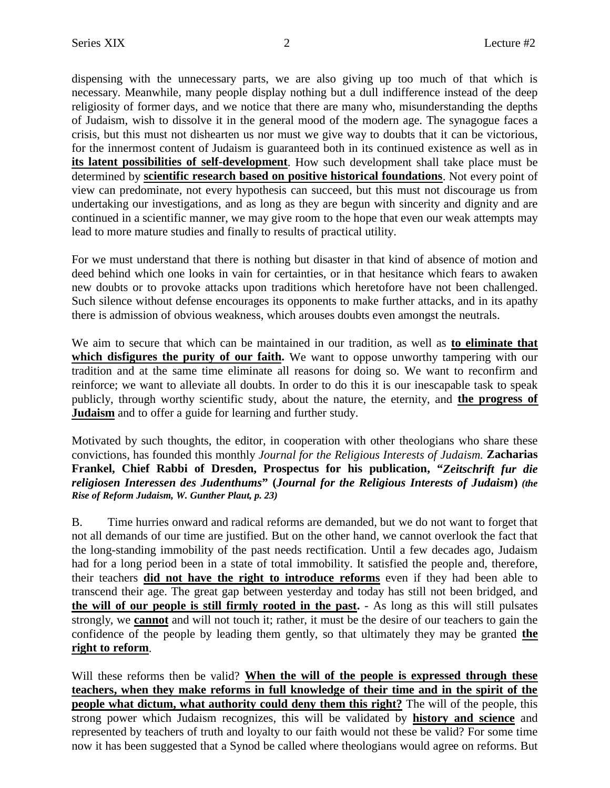dispensing with the unnecessary parts, we are also giving up too much of that which is necessary. Meanwhile, many people display nothing but a dull indifference instead of the deep religiosity of former days, and we notice that there are many who, misunderstanding the depths of Judaism, wish to dissolve it in the general mood of the modern age. The synagogue faces a crisis, but this must not dishearten us nor must we give way to doubts that it can be victorious, for the innermost content of Judaism is guaranteed both in its continued existence as well as in **its latent possibilities of self-development**. How such development shall take place must be determined by **scientific research based on positive historical foundations**. Not every point of view can predominate, not every hypothesis can succeed, but this must not discourage us from undertaking our investigations, and as long as they are begun with sincerity and dignity and are continued in a scientific manner, we may give room to the hope that even our weak attempts may lead to more mature studies and finally to results of practical utility.

For we must understand that there is nothing but disaster in that kind of absence of motion and deed behind which one looks in vain for certainties, or in that hesitance which fears to awaken new doubts or to provoke attacks upon traditions which heretofore have not been challenged. Such silence without defense encourages its opponents to make further attacks, and in its apathy there is admission of obvious weakness, which arouses doubts even amongst the neutrals.

We aim to secure that which can be maintained in our tradition, as well as **to eliminate that which disfigures the purity of our faith.** We want to oppose unworthy tampering with our tradition and at the same time eliminate all reasons for doing so. We want to reconfirm and reinforce; we want to alleviate all doubts. In order to do this it is our inescapable task to speak publicly, through worthy scientific study, about the nature, the eternity, and **the progress of Judaism** and to offer a guide for learning and further study.

Motivated by such thoughts, the editor, in cooperation with other theologians who share these convictions, has founded this monthly *Journal for the Religious Interests of Judaism.* **Zacharias Frankel, Chief Rabbi of Dresden, Prospectus for his publication, "***Zeitschrift fur die religiosen Interessen des Judenthums***" (***Journal for the Religious Interests of Judaism***)** *(the Rise of Reform Judaism, W. Gunther Plaut, p. 23)*

B. Time hurries onward and radical reforms are demanded, but we do not want to forget that not all demands of our time are justified. But on the other hand, we cannot overlook the fact that the long-standing immobility of the past needs rectification. Until a few decades ago, Judaism had for a long period been in a state of total immobility. It satisfied the people and, therefore, their teachers **did not have the right to introduce reforms** even if they had been able to transcend their age. The great gap between yesterday and today has still not been bridged, and **the will of our people is still firmly rooted in the past.** - As long as this will still pulsates strongly, we **cannot** and will not touch it; rather, it must be the desire of our teachers to gain the confidence of the people by leading them gently, so that ultimately they may be granted **the right to reform**.

Will these reforms then be valid? **When the will of the people is expressed through these teachers, when they make reforms in full knowledge of their time and in the spirit of the people what dictum, what authority could deny them this right?** The will of the people, this strong power which Judaism recognizes, this will be validated by **history and science** and represented by teachers of truth and loyalty to our faith would not these be valid? For some time now it has been suggested that a Synod be called where theologians would agree on reforms. But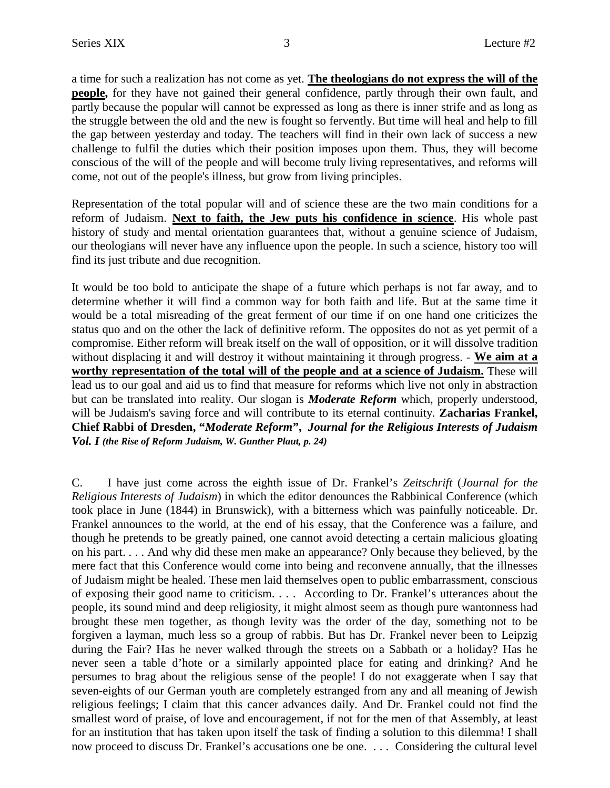a time for such a realization has not come as yet. **The theologians do not express the will of the people,** for they have not gained their general confidence, partly through their own fault, and partly because the popular will cannot be expressed as long as there is inner strife and as long as the struggle between the old and the new is fought so fervently. But time will heal and help to fill the gap between yesterday and today. The teachers will find in their own lack of success a new challenge to fulfil the duties which their position imposes upon them. Thus, they will become conscious of the will of the people and will become truly living representatives, and reforms will come, not out of the people's illness, but grow from living principles.

Representation of the total popular will and of science these are the two main conditions for a reform of Judaism. **Next to faith, the Jew puts his confidence in science**. His whole past history of study and mental orientation guarantees that, without a genuine science of Judaism, our theologians will never have any influence upon the people. In such a science, history too will find its just tribute and due recognition.

It would be too bold to anticipate the shape of a future which perhaps is not far away, and to determine whether it will find a common way for both faith and life. But at the same time it would be a total misreading of the great ferment of our time if on one hand one criticizes the status quo and on the other the lack of definitive reform. The opposites do not as yet permit of a compromise. Either reform will break itself on the wall of opposition, or it will dissolve tradition without displacing it and will destroy it without maintaining it through progress. - **We aim at a worthy representation of the total will of the people and at a science of Judaism.** These will lead us to our goal and aid us to find that measure for reforms which live not only in abstraction but can be translated into reality. Our slogan is *Moderate Reform* which, properly understood, will be Judaism's saving force and will contribute to its eternal continuity. **Zacharias Frankel, Chief Rabbi of Dresden, "***Moderate Reform***",** *Journal for the Religious Interests of Judaism Vol. I (the Rise of Reform Judaism, W. Gunther Plaut, p. 24)*

C. I have just come across the eighth issue of Dr. Frankel's *Zeitschrift* (*Journal for the Religious Interests of Judaism*) in which the editor denounces the Rabbinical Conference (which took place in June (1844) in Brunswick), with a bitterness which was painfully noticeable. Dr. Frankel announces to the world, at the end of his essay, that the Conference was a failure, and though he pretends to be greatly pained, one cannot avoid detecting a certain malicious gloating on his part. . . . And why did these men make an appearance? Only because they believed, by the mere fact that this Conference would come into being and reconvene annually, that the illnesses of Judaism might be healed. These men laid themselves open to public embarrassment, conscious of exposing their good name to criticism. . . . According to Dr. Frankel's utterances about the people, its sound mind and deep religiosity, it might almost seem as though pure wantonness had brought these men together, as though levity was the order of the day, something not to be forgiven a layman, much less so a group of rabbis. But has Dr. Frankel never been to Leipzig during the Fair? Has he never walked through the streets on a Sabbath or a holiday? Has he never seen a table d'hote or a similarly appointed place for eating and drinking? And he persumes to brag about the religious sense of the people! I do not exaggerate when I say that seven-eights of our German youth are completely estranged from any and all meaning of Jewish religious feelings; I claim that this cancer advances daily. And Dr. Frankel could not find the smallest word of praise, of love and encouragement, if not for the men of that Assembly, at least for an institution that has taken upon itself the task of finding a solution to this dilemma! I shall now proceed to discuss Dr. Frankel's accusations one be one. . . . Considering the cultural level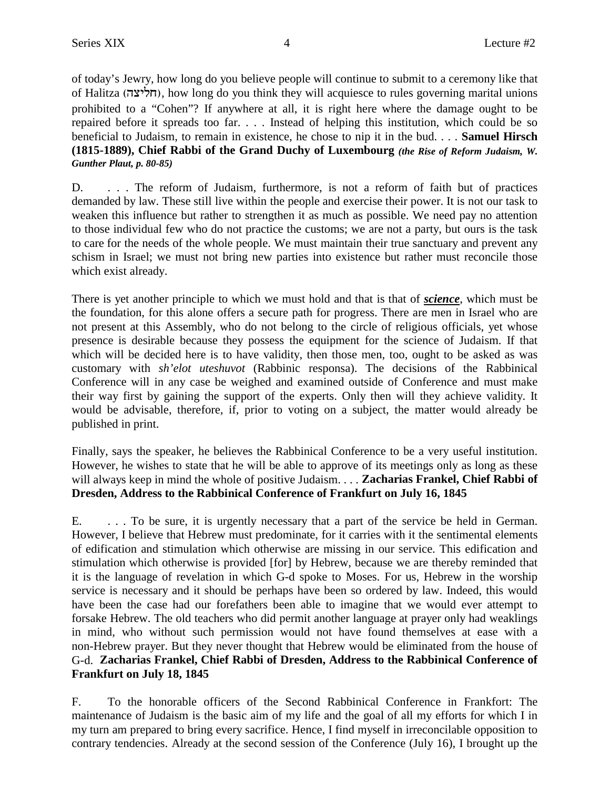of today's Jewry, how long do you believe people will continue to submit to a ceremony like that of Halitza (חליצה), how long do you think they will acquiesce to rules governing marital unions prohibited to a "Cohen"? If anywhere at all, it is right here where the damage ought to be repaired before it spreads too far. . . . Instead of helping this institution, which could be so beneficial to Judaism, to remain in existence, he chose to nip it in the bud. . . . **Samuel Hirsch (1815-1889), Chief Rabbi of the Grand Duchy of Luxembourg** *(the Rise of Reform Judaism, W. Gunther Plaut, p. 80-85)*

D. . . . The reform of Judaism, furthermore, is not a reform of faith but of practices demanded by law. These still live within the people and exercise their power. It is not our task to weaken this influence but rather to strengthen it as much as possible. We need pay no attention to those individual few who do not practice the customs; we are not a party, but ours is the task to care for the needs of the whole people. We must maintain their true sanctuary and prevent any schism in Israel; we must not bring new parties into existence but rather must reconcile those which exist already.

There is yet another principle to which we must hold and that is that of *science*, which must be the foundation, for this alone offers a secure path for progress. There are men in Israel who are not present at this Assembly, who do not belong to the circle of religious officials, yet whose presence is desirable because they possess the equipment for the science of Judaism. If that which will be decided here is to have validity, then those men, too, ought to be asked as was customary with *sh'elot uteshuvot* (Rabbinic responsa). The decisions of the Rabbinical Conference will in any case be weighed and examined outside of Conference and must make their way first by gaining the support of the experts. Only then will they achieve validity. It would be advisable, therefore, if, prior to voting on a subject, the matter would already be published in print.

Finally, says the speaker, he believes the Rabbinical Conference to be a very useful institution. However, he wishes to state that he will be able to approve of its meetings only as long as these will always keep in mind the whole of positive Judaism. . . . **Zacharias Frankel, Chief Rabbi of Dresden, Address to the Rabbinical Conference of Frankfurt on July 16, 1845**

E. . . . . To be sure, it is urgently necessary that a part of the service be held in German. However, I believe that Hebrew must predominate, for it carries with it the sentimental elements of edification and stimulation which otherwise are missing in our service. This edification and stimulation which otherwise is provided [for] by Hebrew, because we are thereby reminded that it is the language of revelation in which G-d spoke to Moses. For us, Hebrew in the worship service is necessary and it should be perhaps have been so ordered by law. Indeed, this would have been the case had our forefathers been able to imagine that we would ever attempt to forsake Hebrew. The old teachers who did permit another language at prayer only had weaklings in mind, who without such permission would not have found themselves at ease with a non-Hebrew prayer. But they never thought that Hebrew would be eliminated from the house of G-d. **Zacharias Frankel, Chief Rabbi of Dresden, Address to the Rabbinical Conference of Frankfurt on July 18, 1845**

F. To the honorable officers of the Second Rabbinical Conference in Frankfort: The maintenance of Judaism is the basic aim of my life and the goal of all my efforts for which I in my turn am prepared to bring every sacrifice. Hence, I find myself in irreconcilable opposition to contrary tendencies. Already at the second session of the Conference (July 16), I brought up the